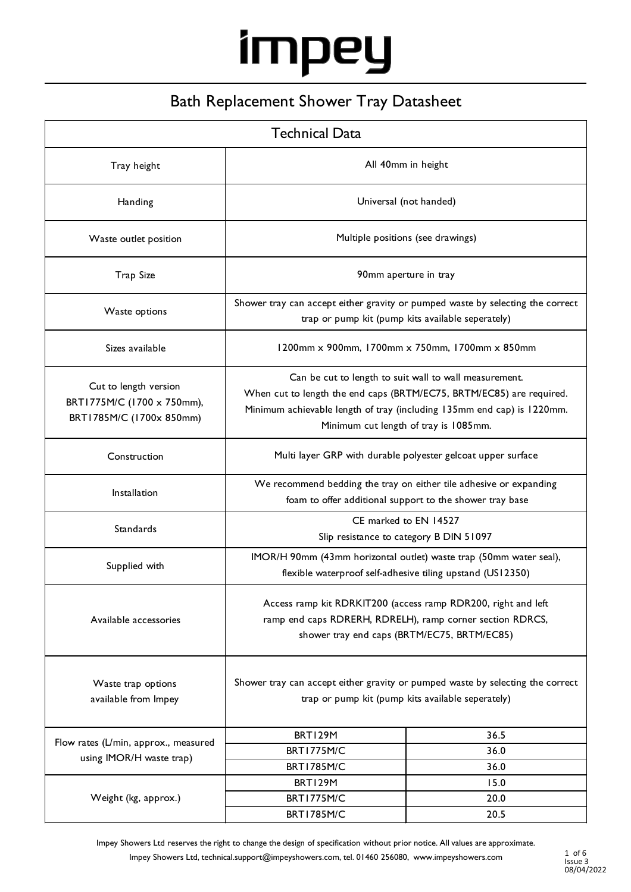### Bath Replacement Shower Tray Datasheet

| <b>Technical Data</b>                                                           |                                                                                                                                                                                                                                                   |              |  |  |
|---------------------------------------------------------------------------------|---------------------------------------------------------------------------------------------------------------------------------------------------------------------------------------------------------------------------------------------------|--------------|--|--|
| Tray height                                                                     | All 40mm in height                                                                                                                                                                                                                                |              |  |  |
| Handing                                                                         | Universal (not handed)                                                                                                                                                                                                                            |              |  |  |
| Waste outlet position                                                           | Multiple positions (see drawings)                                                                                                                                                                                                                 |              |  |  |
| <b>Trap Size</b>                                                                | 90mm aperture in tray                                                                                                                                                                                                                             |              |  |  |
| Waste options                                                                   | Shower tray can accept either gravity or pumped waste by selecting the correct<br>trap or pump kit (pump kits available seperately)                                                                                                               |              |  |  |
| Sizes available                                                                 | 1200mm x 900mm, 1700mm x 750mm, 1700mm x 850mm                                                                                                                                                                                                    |              |  |  |
| Cut to length version<br>BRT1775M/C (1700 x 750mm),<br>BRT1785M/C (1700x 850mm) | Can be cut to length to suit wall to wall measurement.<br>When cut to length the end caps (BRTM/EC75, BRTM/EC85) are required.<br>Minimum achievable length of tray (including 135mm end cap) is 1220mm.<br>Minimum cut length of tray is 1085mm. |              |  |  |
| Construction                                                                    | Multi layer GRP with durable polyester gelcoat upper surface                                                                                                                                                                                      |              |  |  |
| Installation                                                                    | We recommend bedding the tray on either tile adhesive or expanding<br>foam to offer additional support to the shower tray base                                                                                                                    |              |  |  |
| Standards                                                                       | CE marked to EN 14527<br>Slip resistance to category B DIN 51097                                                                                                                                                                                  |              |  |  |
| Supplied with                                                                   | IMOR/H 90mm (43mm horizontal outlet) waste trap (50mm water seal),<br>flexible waterproof self-adhesive tiling upstand (US12350)                                                                                                                  |              |  |  |
| Available accessories                                                           | Access ramp kit RDRKIT200 (access ramp RDR200, right and left<br>ramp end caps RDRERH, RDRELH), ramp corner section RDRCS,<br>shower tray end caps (BRTM/EC75, BRTM/EC85)                                                                         |              |  |  |
| Waste trap options<br>available from Impey                                      | Shower tray can accept either gravity or pumped waste by selecting the correct<br>trap or pump kit (pump kits available seperately)                                                                                                               |              |  |  |
| Flow rates (L/min, approx., measured                                            | BRT129M                                                                                                                                                                                                                                           | 36.5         |  |  |
| using IMOR/H waste trap)                                                        | <b>BRT1775M/C</b>                                                                                                                                                                                                                                 | 36.0         |  |  |
|                                                                                 | <b>BRT1785M/C</b>                                                                                                                                                                                                                                 | 36.0         |  |  |
| Weight (kg, approx.)                                                            | BRT129M<br>BRT1775M/C                                                                                                                                                                                                                             | 15.0<br>20.0 |  |  |
|                                                                                 | <b>BRT1785M/C</b>                                                                                                                                                                                                                                 | 20.5         |  |  |

Impey Showers Ltd reserves the right to change the design of specification without prior notice. All values are approximate. Impey Showers Ltd, technical.support@impeyshowers.com, tel. 01460 256080, www.impeyshowers.com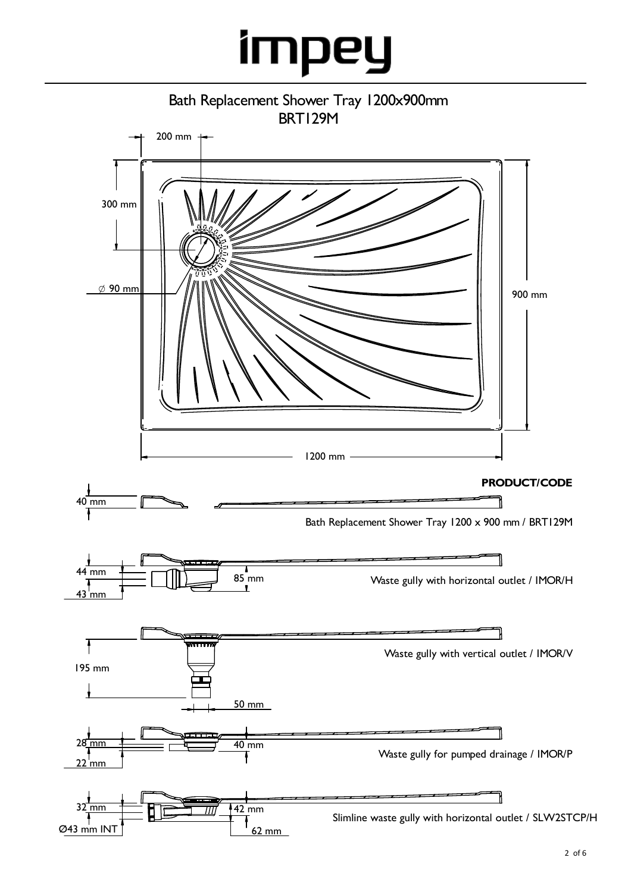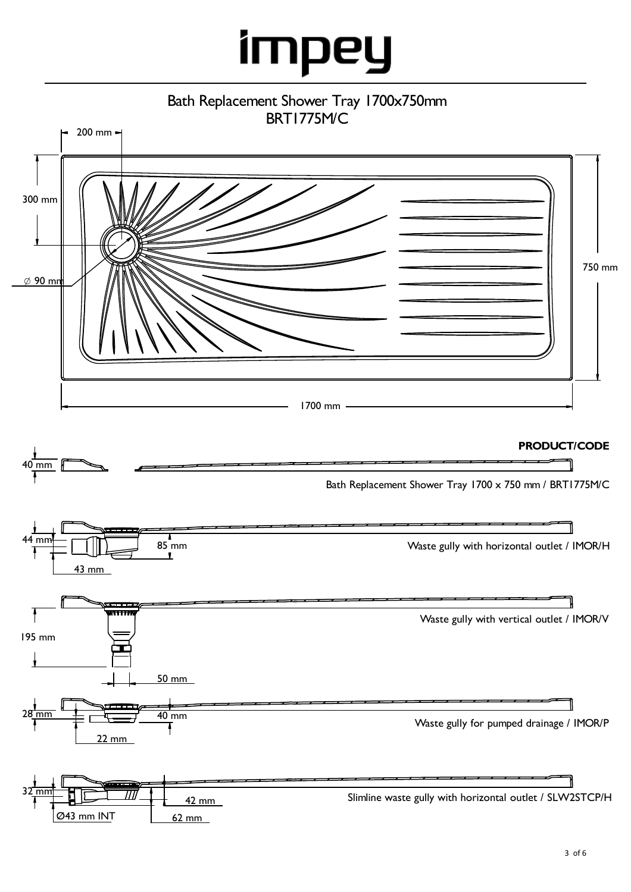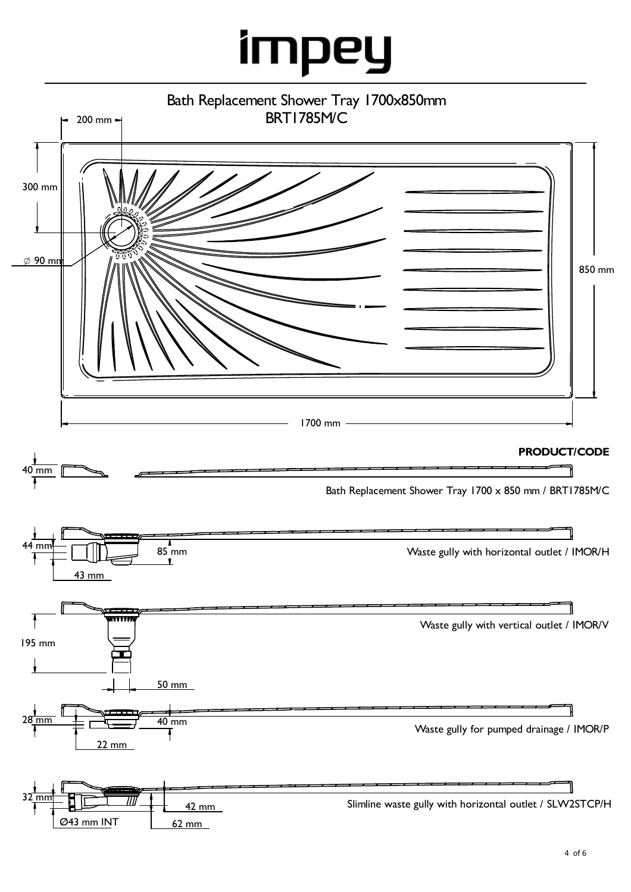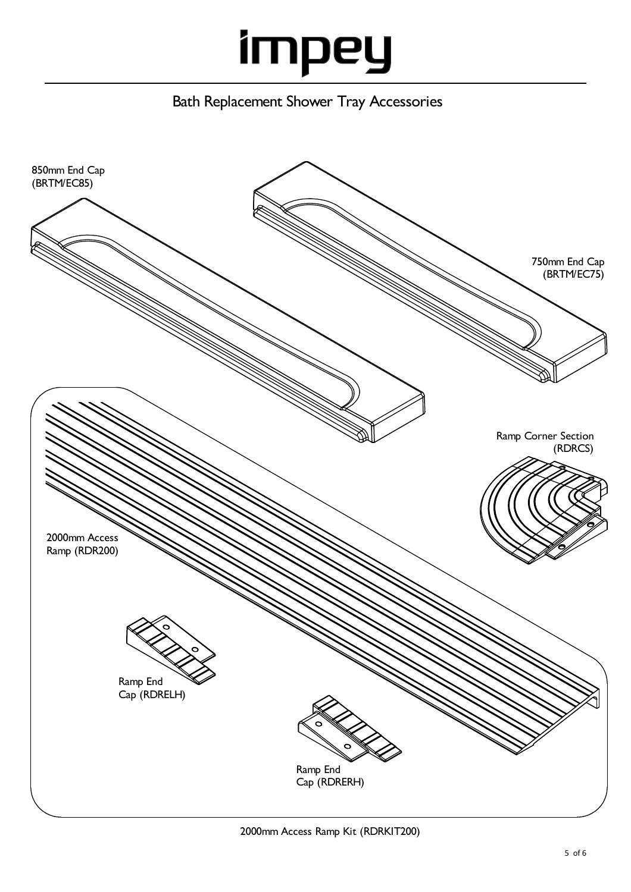Bath Replacement Shower Tray Accessories